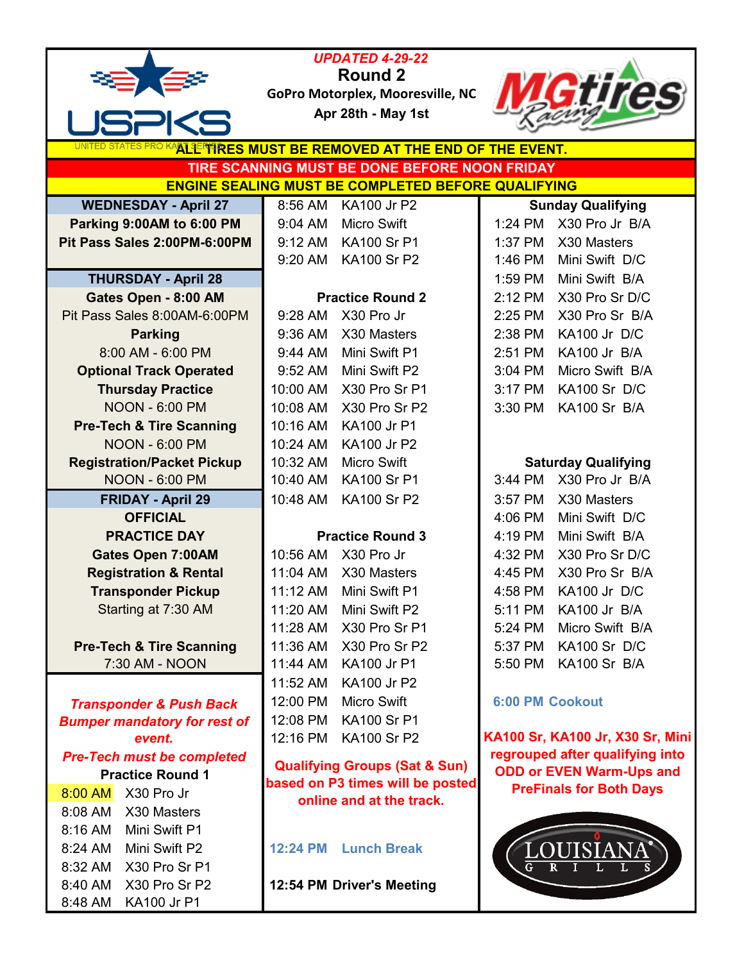|                                     | <b>UPDATED 4-29-22</b>                                                       |                                  |
|-------------------------------------|------------------------------------------------------------------------------|----------------------------------|
|                                     | Round 2                                                                      |                                  |
|                                     | GoPro Motorplex, Mooresville, NC                                             |                                  |
|                                     | Apr 28th - May 1st                                                           |                                  |
|                                     | ALL TRES MUST BE REMOVED AT THE END OF THE EVENT.                            |                                  |
|                                     | TIRE SCANNING MUST BE DONE BEFORE NOON FRIDAY                                |                                  |
|                                     | <b>ENGINE SEALING MUST BE COMPLETED BEFORE QUALIFYING</b>                    |                                  |
| <b>WEDNESDAY - April 27</b>         | 8:56 AM<br>KA100 Jr P2                                                       | <b>Sunday Qualifying</b>         |
| Parking 9:00AM to 6:00 PM           | <b>Micro Swift</b><br>9:04 AM                                                | X30 Pro Jr B/A<br>1:24 PM        |
| Pit Pass Sales 2:00PM-6:00PM        | 9:12 AM<br><b>KA100 Sr P1</b>                                                | 1:37 PM<br>X30 Masters           |
|                                     | <b>KA100 Sr P2</b><br>9:20 AM                                                | Mini Swift D/C<br>1:46 PM        |
| <b>THURSDAY - April 28</b>          |                                                                              | Mini Swift B/A<br>1:59 PM        |
| Gates Open - 8:00 AM                | <b>Practice Round 2</b>                                                      | X30 Pro Sr D/C<br>2:12 PM        |
| Pit Pass Sales 8:00AM-6:00PM        | 9:28 AM<br>X30 Pro Jr                                                        | 2:25 PM<br>X30 Pro Sr B/A        |
| <b>Parking</b>                      | 9:36 AM<br>X30 Masters                                                       | 2:38 PM<br>KA100 Jr D/C          |
| 8:00 AM - 6:00 PM                   | Mini Swift P1<br>9:44 AM                                                     | 2:51 PM<br>KA100 Jr B/A          |
| <b>Optional Track Operated</b>      | 9:52 AM<br>Mini Swift P2                                                     | Micro Swift B/A<br>3:04 PM       |
| <b>Thursday Practice</b>            | 10:00 AM<br>X30 Pro Sr P1                                                    | 3:17 PM<br><b>KA100 Sr D/C</b>   |
| <b>NOON - 6:00 PM</b>               | 10:08 AM<br>X30 Pro Sr P2                                                    | 3:30 PM<br><b>KA100 Sr B/A</b>   |
| <b>Pre-Tech &amp; Tire Scanning</b> | 10:16 AM<br>KA100 Jr P1                                                      |                                  |
| <b>NOON - 6:00 PM</b>               | 10:24 AM<br><b>KA100 Jr P2</b>                                               |                                  |
| <b>Registration/Packet Pickup</b>   | 10:32 AM<br><b>Micro Swift</b>                                               | <b>Saturday Qualifying</b>       |
| <b>NOON - 6:00 PM</b>               | <b>KA100 Sr P1</b><br>10:40 AM                                               | 3:44 PM<br>X30 Pro Jr B/A        |
| <b>FRIDAY - April 29</b>            | 10:48 AM<br><b>KA100 Sr P2</b>                                               | 3:57 PM<br>X30 Masters           |
| <b>OFFICIAL</b>                     |                                                                              | Mini Swift D/C<br>4:06 PM        |
| <b>PRACTICE DAY</b>                 | <b>Practice Round 3</b>                                                      | Mini Swift B/A<br>4:19 PM        |
| <b>Gates Open 7:00AM</b>            | 10:56 AM<br>X30 Pro Jr                                                       | X30 Pro Sr D/C<br>4:32 PM        |
| <b>Registration &amp; Rental</b>    | 11:04 AM<br>X30 Masters                                                      | 4:45 PM<br>X30 Pro Sr B/A        |
| <b>Transponder Pickup</b>           | 11:12 AM<br>Mini Swift P1                                                    | 4:58 PM<br>KA100 Jr D/C          |
| Starting at 7:30 AM                 | 11:20 AM<br>Mini Swift P2                                                    | 5:11 PM<br>KA100 Jr B/A          |
|                                     | 11:28 AM<br>X30 Pro Sr P1                                                    | 5:24 PM<br>Micro Swift B/A       |
| <b>Pre-Tech &amp; Tire Scanning</b> | 11:36 AM<br>X30 Pro Sr P2                                                    | 5:37 PM<br><b>KA100 Sr D/C</b>   |
| 7:30 AM - NOON                      | KA100 Jr P1<br>11:44 AM                                                      | KA100 Sr B/A<br>5:50 PM          |
|                                     | 11:52 AM<br>KA100 Jr P2                                                      |                                  |
| <b>Transponder &amp; Push Back</b>  | 12:00 PM<br><b>Micro Swift</b>                                               | <b>6:00 PM Cookout</b>           |
| <b>Bumper mandatory for rest of</b> | 12:08 PM<br><b>KA100 Sr P1</b>                                               |                                  |
| event.                              | 12:16 PM<br><b>KA100 Sr P2</b>                                               | KA100 Sr, KA100 Jr, X30 Sr, Mini |
| <b>Pre-Tech must be completed</b>   |                                                                              | regrouped after qualifying into  |
| <b>Practice Round 1</b>             | <b>Qualifying Groups (Sat &amp; Sun)</b><br>based on P3 times will be posted | <b>ODD or EVEN Warm-Ups and</b>  |
| 8:00 AM<br>X30 Pro Jr               | online and at the track.                                                     | <b>PreFinals for Both Days</b>   |
| 8:08 AM<br>X30 Masters              |                                                                              |                                  |
| 8:16 AM<br>Mini Swift P1            |                                                                              |                                  |
| 8:24 AM<br>Mini Swift P2            | 12:24 PM<br><b>Lunch Break</b>                                               | JISIANA                          |
| 8:32 AM<br>X30 Pro Sr P1            |                                                                              |                                  |
| 8:40 AM<br>X30 Pro Sr P2            | 12:54 PM Driver's Meeting                                                    |                                  |
| KA100 Jr P1<br>8:48 AM              |                                                                              |                                  |
|                                     |                                                                              |                                  |